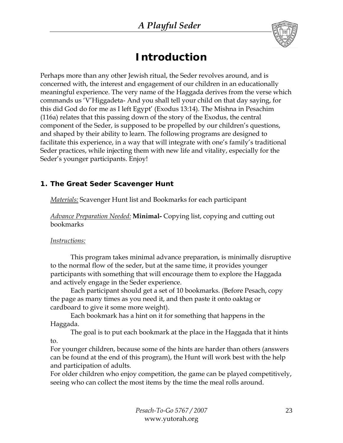

# *Introduction*

Perhaps more than any other Jewish ritual, the Seder revolves around, and is concerned with, the interest and engagement of our children in an educationally meaningful experience. The very name of the Haggada derives from the verse which commands us 'V'Higgadeta- And you shall tell your child on that day saying, for this did God do for me as I left Egypt' (Exodus 13:14). The Mishna in Pesachim (116a) relates that this passing down of the story of the Exodus, the central component of the Seder, is supposed to be propelled by our children's questions, and shaped by their ability to learn. The following programs are designed to facilitate this experience, in a way that will integrate with one's family's traditional Seder practices, while injecting them with new life and vitality, especially for the Seder's younger participants. Enjoy!

### *1. The Great Seder Scavenger Hunt*

*Materials:* Scavenger Hunt list and Bookmarks for each participant

*Advance Preparation Needed:* **Minimal-** Copying list, copying and cutting out bookmarks

### *Instructions:*

This program takes minimal advance preparation, is minimally disruptive to the normal flow of the seder, but at the same time, it provides younger participants with something that will encourage them to explore the Haggada and actively engage in the Seder experience.

Each participant should get a set of 10 bookmarks. (Before Pesach, copy the page as many times as you need it, and then paste it onto oaktag or cardboard to give it some more weight).

Each bookmark has a hint on it for something that happens in the Haggada.

The goal is to put each bookmark at the place in the Haggada that it hints to.

For younger children, because some of the hints are harder than others (answers can be found at the end of this program), the Hunt will work best with the help and participation of adults.

For older children who enjoy competition, the game can be played competitively, seeing who can collect the most items by the time the meal rolls around.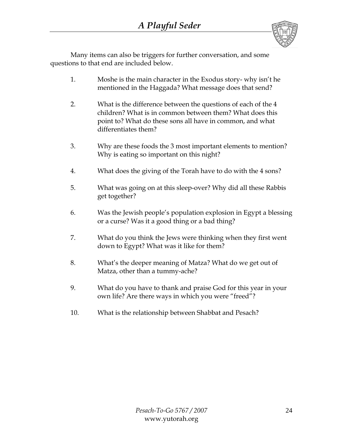

Many items can also be triggers for further conversation, and some questions to that end are included below.

- 1. Moshe is the main character in the Exodus story- why isn't he mentioned in the Haggada? What message does that send?
- 2. What is the difference between the questions of each of the 4 children? What is in common between them? What does this point to? What do these sons all have in common, and what differentiates them?
- 3. Why are these foods the 3 most important elements to mention? Why is eating so important on this night?
- 4. What does the giving of the Torah have to do with the 4 sons?
- 5. What was going on at this sleep-over? Why did all these Rabbis get together?
- 6. Was the Jewish people's population explosion in Egypt a blessing or a curse? Was it a good thing or a bad thing?
- 7. What do you think the Jews were thinking when they first went down to Egypt? What was it like for them?
- 8. What's the deeper meaning of Matza? What do we get out of Matza, other than a tummy-ache?
- 9. What do you have to thank and praise God for this year in your own life? Are there ways in which you were "freed"?
- 10. What is the relationship between Shabbat and Pesach?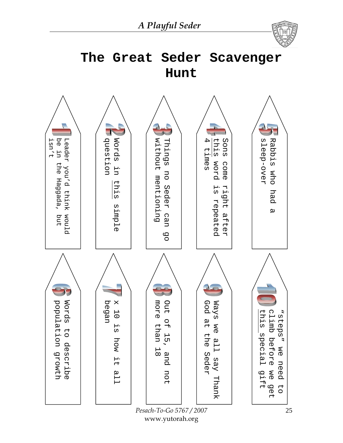*A Playful Seder* 





*Pesach-To-Go 5767 / 2007* www.yutorah.org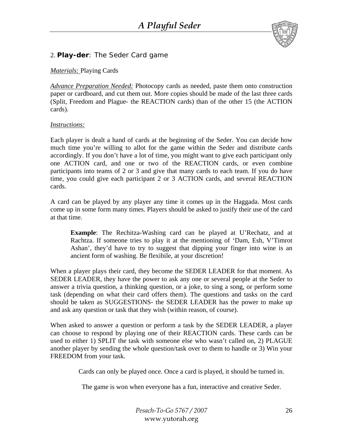

### 2. *Play-der*: The Seder Card game

#### *Materials:* Playing Cards

*Advance Preparation Needed:* Photocopy cards as needed, paste them onto construction paper or cardboard, and cut them out. More copies should be made of the last three cards (Split, Freedom and Plague- the REACTION cards) than of the other 15 (the ACTION cards).

#### *Instructions:*

Each player is dealt a hand of cards at the beginning of the Seder. You can decide how much time you're willing to allot for the game within the Seder and distribute cards accordingly. If you don't have a lot of time, you might want to give each participant only one ACTION card, and one or two of the REACTION cards, or even combine participants into teams of 2 or 3 and give that many cards to each team. If you do have time, you could give each participant 2 or 3 ACTION cards, and several REACTION cards.

A card can be played by any player any time it comes up in the Haggada. Most cards come up in some form many times. Players should be asked to justify their use of the card at that time.

**Example**: The Rechitza-Washing card can be played at U'Rechatz, and at Rachtza. If someone tries to play it at the mentioning of 'Dam, Esh, V'Timrot Ashan', they'd have to try to suggest that dipping your finger into wine is an ancient form of washing. Be flexibile, at your discretion!

When a player plays their card, they become the SEDER LEADER for that moment. As SEDER LEADER, they have the power to ask any one or several people at the Seder to answer a trivia question, a thinking question, or a joke, to sing a song, or perform some task (depending on what their card offers them). The questions and tasks on the card should be taken as SUGGESTIONS- the SEDER LEADER has the power to make up and ask any question or task that they wish (within reason, of course).

When asked to answer a question or perform a task by the SEDER LEADER, a player can choose to respond by playing one of their REACTION cards. These cards can be used to either 1) SPLIT the task with someone else who wasn't called on, 2) PLAGUE another player by sending the whole question/task over to them to handle or 3) Win your FREEDOM from your task.

Cards can only be played once. Once a card is played, it should be turned in.

The game is won when everyone has a fun, interactive and creative Seder.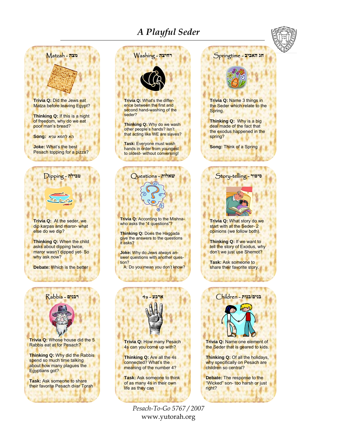# *A Playful Seder*



www.yutorah.org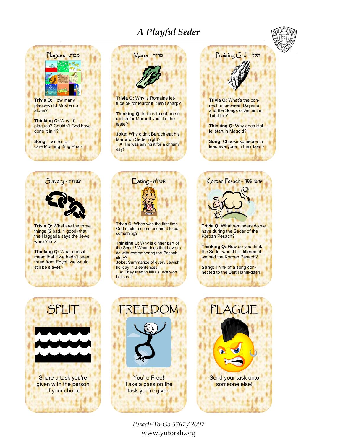# *A Playful Seder*





**Trivia Q:** How many plagues did Moshe do alone?

**Thinking Q:** Why 10 plagues? Couldn't God have done it in 1?

דם, צפרדע , **:Song** One Morning King Phar-



**Trivia Q:** What are the three things (2 bad, 1 good) that the Haggada says the Jews עובד ? were

**Thinking Q:** What does it mean that if we hadn't been freed from Egypt, we would still be slaves?



You're Free! Take a pass on the task you're given



**Trivia Q:** What reminders do we have during the Seder of the Korban Pesach?

**Thinking Q:** How do you think the Seder would be different if we had the Korban Pesach?

**Song:** Think of a song connected to the Beit HaMikdash.



PLAGUE Send your task onto someone else!

*Pesach-To-Go 5767 / 2007* www.yutorah.org